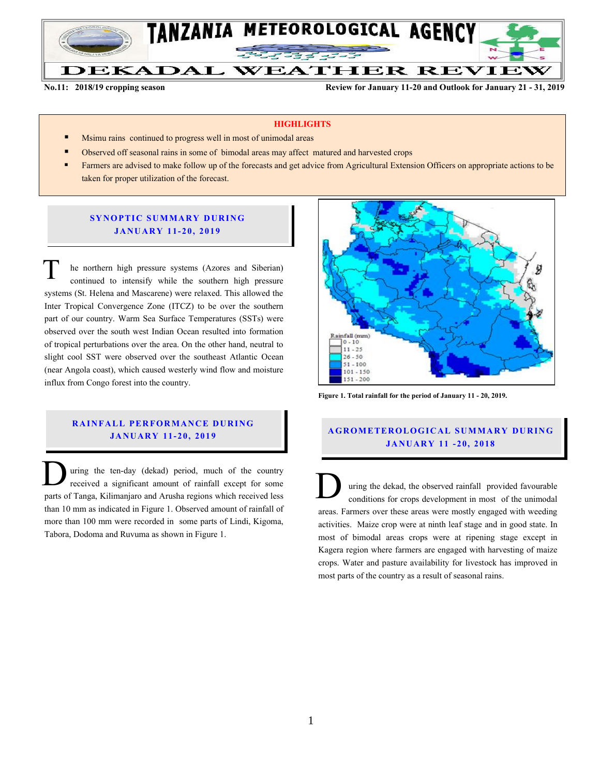

**No.11: 2018/19 cropping season Review for January 11-20 and Outlook for January 21 - 31, 2019**

#### **HIGHLIGHTS**

- Msimu rains continued to progress well in most of unimodal areas
- Observed off seasonal rains in some of bimodal areas may affect matured and harvested crops
- Farmers are advised to make follow up of the forecasts and get advice from Agricultural Extension Officers on appropriate actions to be taken for proper utilization of the forecast.

## **SYNOPTIC SUMMARY DURING JA NU AR Y 11- 20, 201 9**

he northern high pressure systems (Azores and Siberian) continued to intensify while the southern high pressure systems (St. Helena and Mascarene) were relaxed. This allowed the Inter Tropical Convergence Zone (ITCZ) to be over the southern part of our country. Warm Sea Surface Temperatures (SSTs) were observed over the south west Indian Ocean resulted into formation of tropical perturbations over the area. On the other hand, neutral to slight cool SST were observed over the southeast Atlantic Ocean (near Angola coast), which caused westerly wind flow and moisture influx from Congo forest into the country. T

# **RAINFALL PERFORMANCE DURING JA NU AR Y 11- 20, 201 9**

uring the ten-day (dekad) period, much of the country received a significant amount of rainfall except for some parts of Tanga, Kilimanjaro and Arusha regions which received less than 10 mm as indicated in Figure 1. Observed amount of rainfall of more than 100 mm were recorded in some parts of Lindi, Kigoma, Tabora, Dodoma and Ruvuma as shown in Figure 1. Using the ten-day (dekad) period, much of the country<br>received a significant amount of rainfall except for some<br>parts of Tanga, Kilimanjaro and Arusha regions which received less<br>than 10 mm as indicated in Figure 1. Observ



**Figure 1. Total rainfall for the period of January 11 - 20, 2019.**

# **A G RO METER O LO G IC AL SU MMAR Y DU R IN G JA NU AR Y 11 - 20, 2018**

uring the dekad, the observed rainfall provided favourable conditions for crops development in most of the unimodal areas. Farmers over these areas were mostly engaged with weeding activities. Maize crop were at ninth leaf stage and in good state. In most of bimodal areas crops were at ripening stage except in Kagera region where farmers are engaged with harvesting of maize crops. Water and pasture availability for livestock has improved in most parts of the country as a result of seasonal rains.